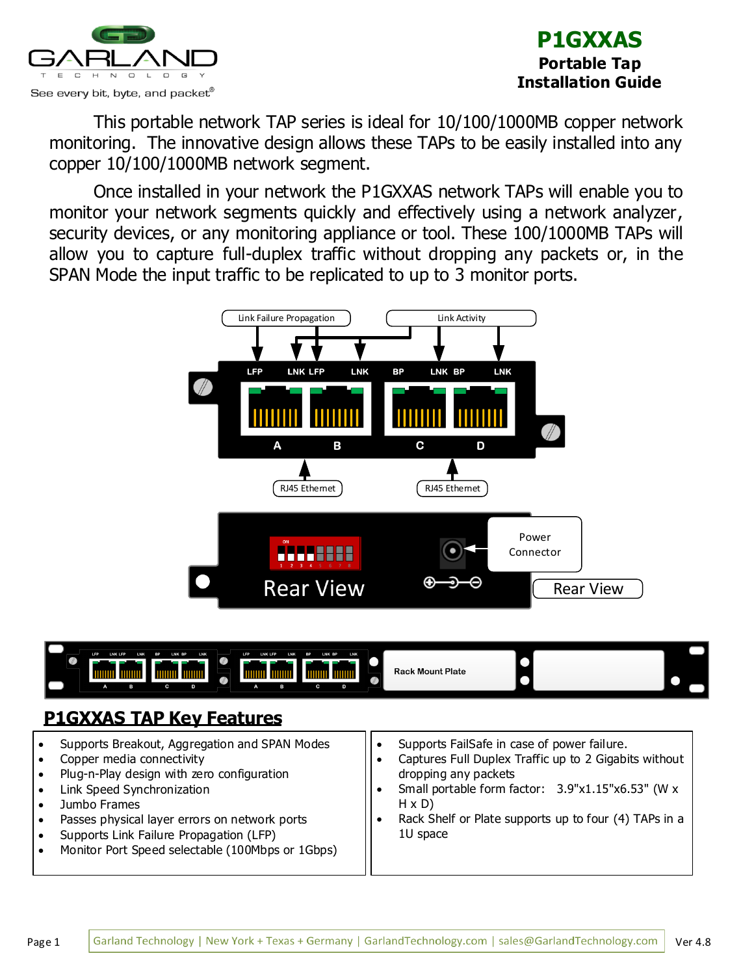



This portable network TAP series is ideal for 10/100/1000MB copper network monitoring. The innovative design allows these TAPs to be easily installed into any copper 10/100/1000MB network segment.

Once installed in your network the P1GXXAS network TAPs will enable you to monitor your network segments quickly and effectively using a network analyzer, security devices, or any monitoring appliance or tool. These 100/1000MB TAPs will allow you to capture full-duplex traffic without dropping any packets or, in the SPAN Mode the input traffic to be replicated to up to 3 monitor ports.





- Plug-n-Play design with zero configuration
- Link Speed Synchronization
- Jumbo Frames
- Passes physical layer errors on network ports
- Supports Link Failure Propagation (LFP)
- Monitor Port Speed selectable (100Mbps or 1Gbps)
- dropping any packets
- Small portable form factor: 3.9"x1.15"x6.53" (W x H x D)
- Rack Shelf or Plate supports up to four (4) TAPs in a 1U space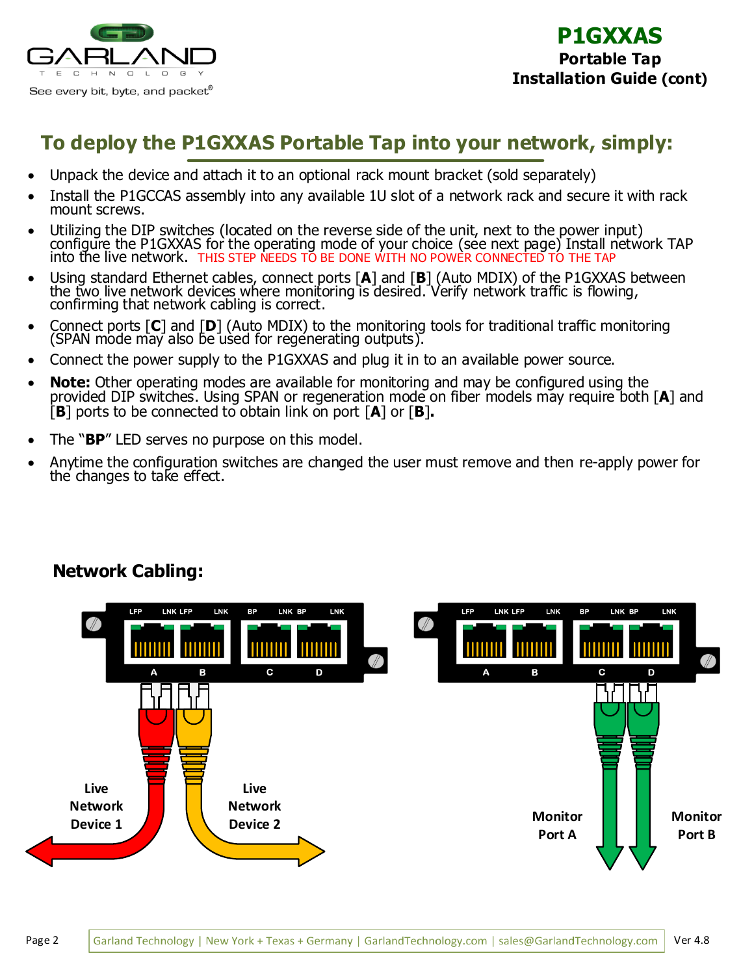

## **To deploy the P1GXXAS Portable Tap into your network, simply:**

- Unpack the device and attach it to an optional rack mount bracket (sold separately)
- Install the P1GCCAS assembly into any available 1U slot of a network rack and secure it with rack mount screws.
- Utilizing the DIP switches (located on the reverse side of the unit, next to the power input) configure the P1GXXAS for the operating mode of your choice (see next page) Install network TAP into the live network. THIS STEP NEEDS TO BE DONE WITH NO POWER CONNECTED TO THE TAP
- Using standard Ethernet cables, connect ports [**A**] and [**B**] (Auto MDIX) of the P1GXXAS between the two live network devices where monitoring is desired. Verify network traffic is flowing, confirming that network cabling is correct.
- Connect ports [**C**] and [**D**] (Auto MDIX) to the monitoring tools for traditional traffic monitoring (SPAN mode may also be used for regenerating outputs).
- Connect the power supply to the P1GXXAS and plug it in to an available power source.
- **Note:** Other operating modes are available for monitoring and may be configured using the provided DIP switches. Using SPAN or regeneration mode on fiber models may require both [**A**] and [**B**] ports to be connected to obtain link on port [**A**] or [**B**]**.**
- The "**BP**" LED serves no purpose on this model.
- Anytime the configuration switches are changed the user must remove and then re-apply power for the changes to take effect.

#### LNK LFP **LNK BP** LNK BP LNK **LFP** LNK LFP **LNK BP** LNK BP LNK **LFP** C D B В **Live Live Network Network Monitor Monitor Device 1 Device 2 Port A Port B**

### **Network Cabling:**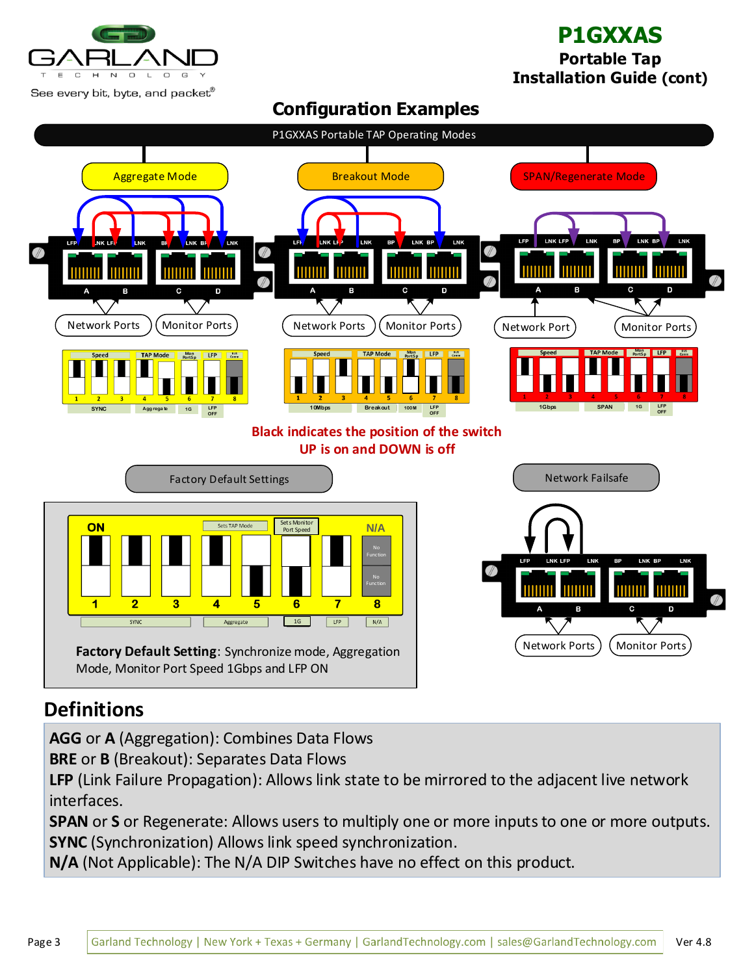

## **P1GXXAS**

**Portable Tap Installation Guide (cont)**

P1GXXAS Portable TAP Operating Modes Aggregate Mode  $\left($  Breakout Mode  $\left($  SPAN/Regenerate Mode BE LNK BE **LFP** NK LR LNK  $\overline{\phantom{a}}$  $LFF$ LNK LEA LNK LNK BP **LNK** LFP LNK LFP LNK **BP** LNK BP LNK **RP** Network Ports ) (Monitor Ports) ( Network Ports ) ( Monitor Ports ) ( Network Port Monitor Ports **Mon TAP More Mon Mon Port S pPort S p Port S p SYNC Agg rega te LFP 10Mbps 1Gbps** ate 1G 1G LFP<br>OFF **Breakout LFP LFP OFF SPAN 100M 1G OFF Black indicates the position of the switch UP is on and DOWN is off** Factory Default Settings Network Failsafe ON Sets TAP Mode Sets Monitor Port Speed **N/A** No Function **LNK** I NK RP No Function Function **THILL THILLE THILLE**  $\overline{\mathbf{2}}$  $\overline{\mathbf{1}}$  $\overline{\mathbf{3}}$ 4 7  $\bf{8}$ 5 6  $\frac{1}{\sqrt{2}}$  $\boxed{1G}$  $N/A$ Aggregate Network Ports ) (Monitor Ports **Factory Default Setting**: Synchronize mode, Aggregation Mode, Monitor Port Speed 1Gbps and LFP ON

**Configuration Examples**

# **Definitions**

**AGG** or **A** (Aggregation): Combines Data Flows

**BRE** or **B** (Breakout): Separates Data Flows

**LFP** (Link Failure Propagation): Allows link state to be mirrored to the adjacent live network interfaces.

**SPAN** or **S** or Regenerate: Allows users to multiply one or more inputs to one or more outputs. **SYNC** (Synchronization) Allows link speed synchronization.

**N/A** (Not Applicable): The N/A DIP Switches have no effect on this product.